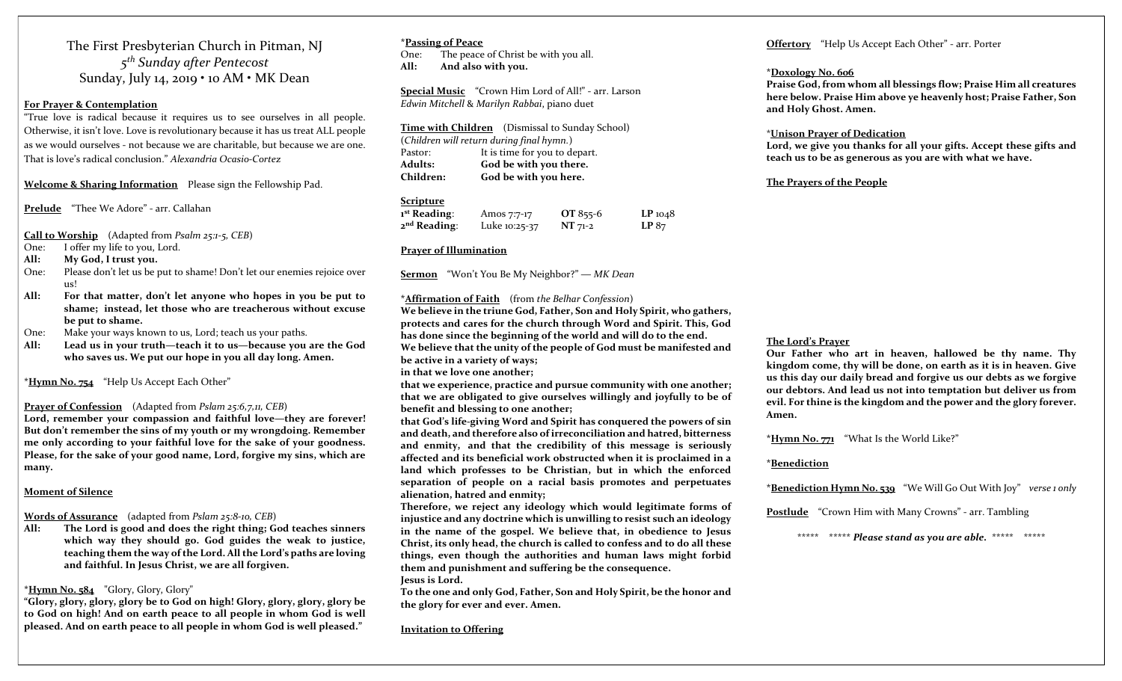The First Presbyterian Church in Pitman, NJ 5<sup>th</sup> Sunday after Pentecost Sunday, July 14, 2019 • 10 AM • MK Dean

#### For Prayer & Contemplation

"True love is radical because it requires us to see ourselves in all people. Otherwise, it isn't love. Love is revolutionary because it has us treat ALL people as we would ourselves - not because we are charitable, but because we are one. That is love's radical conclusion." Alexandria Ocasio-Cortez

Welcome & Sharing Information Please sign the Fellowship Pad.

Prelude "Thee We Adore" - arr. Callahan

Call to Worship (Adapted from Psalm 25:1-5, CEB)

- One: I offer my life to you, Lord.
- All: My God, I trust you.
- One: Please don't let us be put to shame! Don't let our enemies rejoice over us!
- All: For that matter, don't let anyone who hopes in you be put to shame; instead, let those who are treacherous without excuse be put to shame.
- One: Make your ways known to us, Lord; teach us your paths.
- All: Lead us in your truth—teach it to us—because you are the God who saves us. We put our hope in you all day long. Amen.

\*Hymn No. 754 "Help Us Accept Each Other"

#### Prayer of Confession (Adapted from Pslam 25:6,7,11, CEB)

Lord, remember your compassion and faithful love—they are forever! But don't remember the sins of my youth or my wrongdoing. Remember me only according to your faithful love for the sake of your goodness. Please, for the sake of your good name, Lord, forgive my sins, which are many.

#### Moment of Silence

#### Words of Assurance (adapted from Pslam 25:8-10, CEB)

All: The Lord is good and does the right thing; God teaches sinners which way they should go. God guides the weak to justice, teaching them the way of the Lord. All the Lord's paths are loving and faithful. In Jesus Christ, we are all forgiven.

#### \*Hymn No. 584 "Glory, Glory, Glory"

"Glory, glory, glory, glory be to God on high! Glory, glory, glory, glory be to God on high! And on earth peace to all people in whom God is well pleased. And on earth peace to all people in whom God is well pleased."

#### \*Passing of Peace One: The peace of Christ be with you all.

All: And also with you.

Special Music "Crown Him Lord of All!" - arr. Larson Edwin Mitchell & Marilyn Rabbai, piano duet

Time with Children (Dismissal to Sunday School) (Children will return during final hymn.) Pastor: It is time for you to depart. Adults: God be with you there. Children: God be with you here.

#### Scripture

| 1 <sup>st</sup> Reading: | Amos 7:7-17   | OT 855-6  | $LP_{1048}$ |
|--------------------------|---------------|-----------|-------------|
| 2 <sup>nd</sup> Reading: | Luke 10:25-37 | $NT 71-2$ | LP 87       |

#### Prayer of Illumination

Sermon "Won't You Be My Neighbor?" — MK Dean

#### \***Affirmation of Faith** (from the Belhar Confession)

We believe in the triune God, Father, Son and Holy Spirit, who gathers, protects and cares for the church through Word and Spirit. This, God has done since the beginning of the world and will do to the end. We believe that the unity of the people of God must be manifested and be active in a variety of ways;

in that we love one another;

that we experience, practice and pursue community with one another; that we are obligated to give ourselves willingly and joyfully to be of benefit and blessing to one another;

that God's life-giving Word and Spirit has conquered the powers of sin and death, and therefore also of irreconciliation and hatred, bitterness and enmity, and that the credibility of this message is seriously affected and its beneficial work obstructed when it is proclaimed in a land which professes to be Christian, but in which the enforced separation of people on a racial basis promotes and perpetuates alienation, hatred and enmity;

Therefore, we reject any ideology which would legitimate forms of injustice and any doctrine which is unwilling to resist such an ideology in the name of the gospel. We believe that, in obedience to Jesus Christ, its only head, the church is called to confess and to do all these things, even though the authorities and human laws might forbid them and punishment and suffering be the consequence. Jesus is Lord.

To the one and only God, Father, Son and Holy Spirit, be the honor and the glory for ever and ever. Amen.

Invitation to Offering

#### Offertory "Help Us Accept Each Other" - arr. Porter

#### \*Doxology No. 606

Praise God, from whom all blessings flow; Praise Him all creatures here below. Praise Him above ye heavenly host; Praise Father, Son and Holy Ghost. Amen.

#### \*Unison Prayer of Dedication

Lord, we give you thanks for all your gifts. Accept these gifts and teach us to be as generous as you are with what we have.

#### The Prayers of the People

#### The Lord's Prayer

Our Father who art in heaven, hallowed be thy name. Thy kingdom come, thy will be done, on earth as it is in heaven. Give us this day our daily bread and forgive us our debts as we forgive our debtors. And lead us not into temptation but deliver us from evil. For thine is the kingdom and the power and the glory forever. Amen.

\*Hymn No. 771 "What Is the World Like?"

#### \*Benediction

\***Benediction Hymn No. 539** "We Will Go Out With Joy" verse 1 only

Postlude "Crown Him with Many Crowns" - arr. Tambling

\*\*\*\*\* \*\*\*\*\* Please stand as you are able. \*\*\*\*\* \*\*\*\*\*